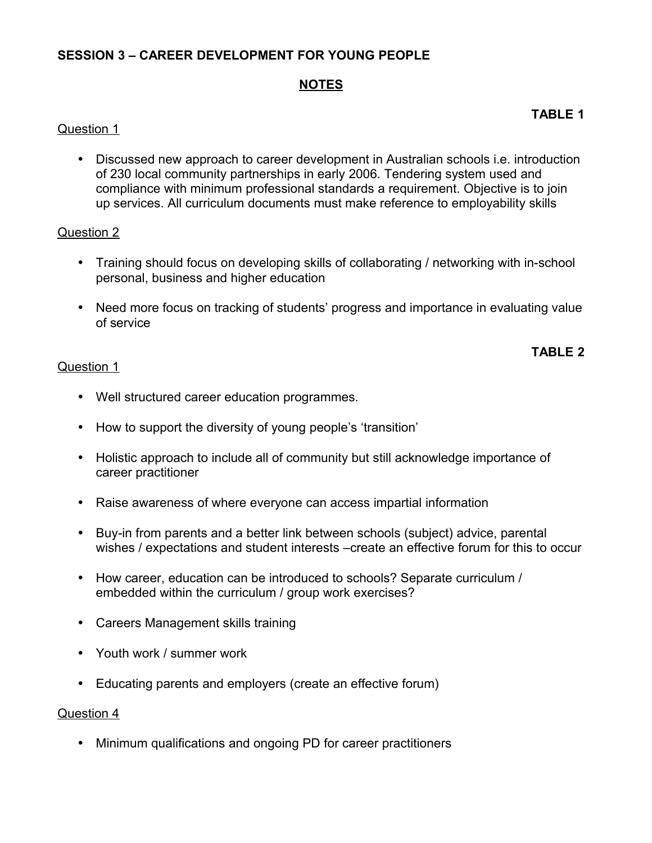# **SESSION 3 – CAREER DEVELOPMENT FOR YOUNG PEOPLE**

# **NOTES**

## Question 1

• Discussed new approach to career development in Australian schools i.e. introduction of 230 local community partnerships in early 2006. Tendering system used and compliance with minimum professional standards a requirement. Objective is to join up services. All curriculum documents must make reference to employability skills

## Question 2

- Training should focus on developing skills of collaborating / networking with in-school personal, business and higher education
- Need more focus on tracking of students' progress and importance in evaluating value of service

## **TABLE 2**

#### Question 1

- Well structured career education programmes.
- How to support the diversity of young people's 'transition'
- Holistic approach to include all of community but still acknowledge importance of career practitioner
- Raise awareness of where everyone can access impartial information
- Buy-in from parents and a better link between schools (subject) advice, parental wishes / expectations and student interests –create an effective forum for this to occur
- How career, education can be introduced to schools? Separate curriculum / embedded within the curriculum / group work exercises?
- Careers Management skills training
- Youth work / summer work
- Educating parents and employers (create an effective forum)

#### Question 4

• Minimum qualifications and ongoing PD for career practitioners

## **TABLE 1**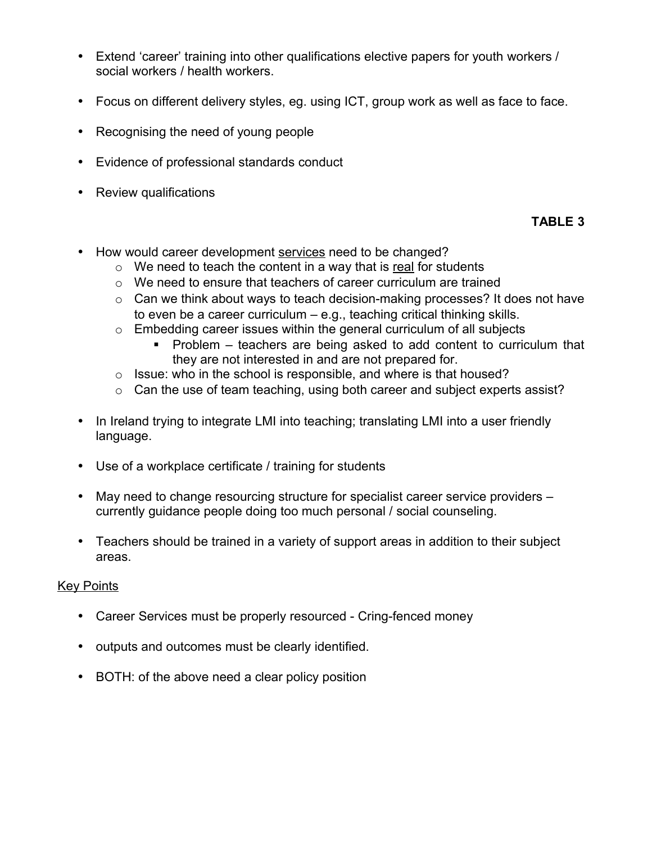- Extend 'career' training into other qualifications elective papers for youth workers / social workers / health workers.
- Focus on different delivery styles, eg. using ICT, group work as well as face to face.
- Recognising the need of young people
- Evidence of professional standards conduct
- Review qualifications

# **TABLE 3**

- How would career development services need to be changed?
	- $\circ$  We need to teach the content in a way that is real for students
	- o We need to ensure that teachers of career curriculum are trained
	- o Can we think about ways to teach decision-making processes? It does not have to even be a career curriculum – e.g., teaching critical thinking skills.
	- $\circ$  Embedding career issues within the general curriculum of all subjects
		- Problem teachers are being asked to add content to curriculum that they are not interested in and are not prepared for.
	- $\circ$  Issue: who in the school is responsible, and where is that housed?
	- o Can the use of team teaching, using both career and subject experts assist?
- In Ireland trying to integrate LMI into teaching; translating LMI into a user friendly language.
- Use of a workplace certificate / training for students
- May need to change resourcing structure for specialist career service providers currently guidance people doing too much personal / social counseling.
- Teachers should be trained in a variety of support areas in addition to their subject areas.

## Key Points

- Career Services must be properly resourced Cring-fenced money
- outputs and outcomes must be clearly identified.
- BOTH: of the above need a clear policy position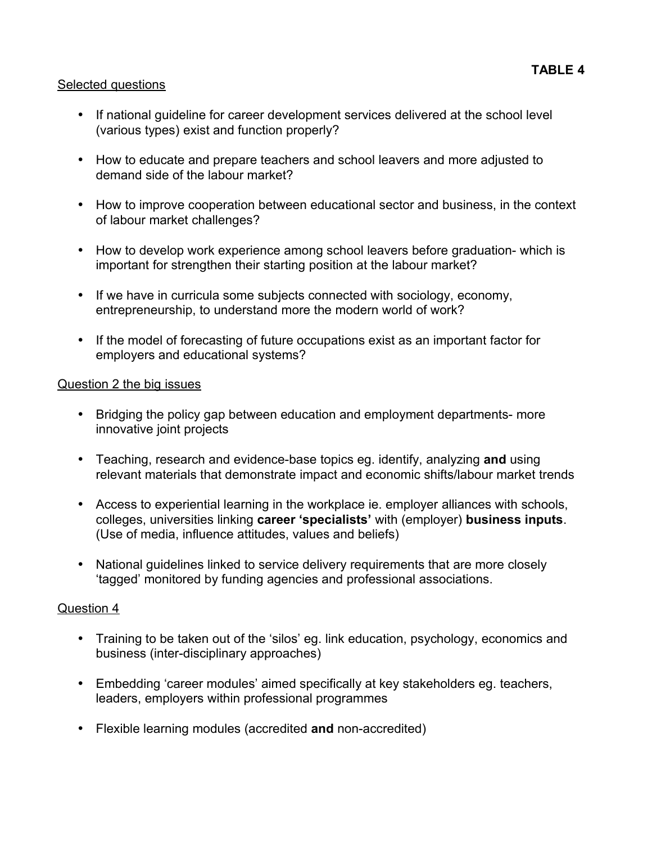## Selected questions

- If national guideline for career development services delivered at the school level (various types) exist and function properly?
- How to educate and prepare teachers and school leavers and more adjusted to demand side of the labour market?
- How to improve cooperation between educational sector and business, in the context of labour market challenges?
- How to develop work experience among school leavers before graduation- which is important for strengthen their starting position at the labour market?
- If we have in curricula some subjects connected with sociology, economy, entrepreneurship, to understand more the modern world of work?
- If the model of forecasting of future occupations exist as an important factor for employers and educational systems?

## Question 2 the big issues

- Bridging the policy gap between education and employment departments- more innovative joint projects
- Teaching, research and evidence-base topics eg. identify, analyzing **and** using relevant materials that demonstrate impact and economic shifts/labour market trends
- Access to experiential learning in the workplace ie. employer alliances with schools, colleges, universities linking **career 'specialists'** with (employer) **business inputs**. (Use of media, influence attitudes, values and beliefs)
- National guidelines linked to service delivery requirements that are more closely 'tagged' monitored by funding agencies and professional associations.

#### Question 4

- Training to be taken out of the 'silos' eg. link education, psychology, economics and business (inter-disciplinary approaches)
- Embedding 'career modules' aimed specifically at key stakeholders eg. teachers, leaders, employers within professional programmes
- Flexible learning modules (accredited **and** non-accredited)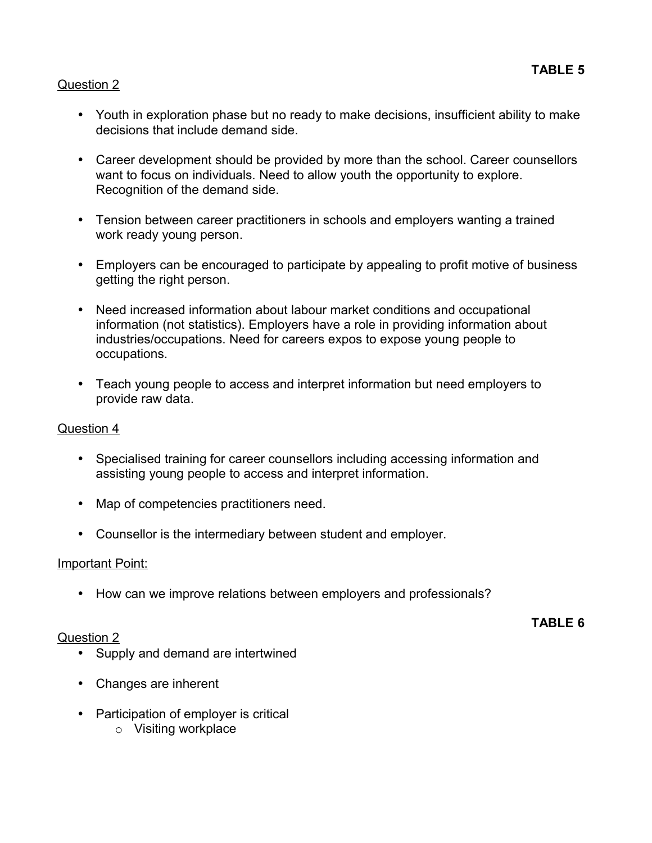## Question 2

- Youth in exploration phase but no ready to make decisions, insufficient ability to make decisions that include demand side.
- Career development should be provided by more than the school. Career counsellors want to focus on individuals. Need to allow youth the opportunity to explore. Recognition of the demand side.
- Tension between career practitioners in schools and employers wanting a trained work ready young person.
- Employers can be encouraged to participate by appealing to profit motive of business getting the right person.
- Need increased information about labour market conditions and occupational information (not statistics). Employers have a role in providing information about industries/occupations. Need for careers expos to expose young people to occupations.
- Teach young people to access and interpret information but need employers to provide raw data.

## Question 4

- Specialised training for career counsellors including accessing information and assisting young people to access and interpret information.
- Map of competencies practitioners need.
- Counsellor is the intermediary between student and employer.

#### Important Point:

• How can we improve relations between employers and professionals?

#### Question 2

**TABLE 6**

- Supply and demand are intertwined
- Changes are inherent
- Participation of employer is critical
	- o Visiting workplace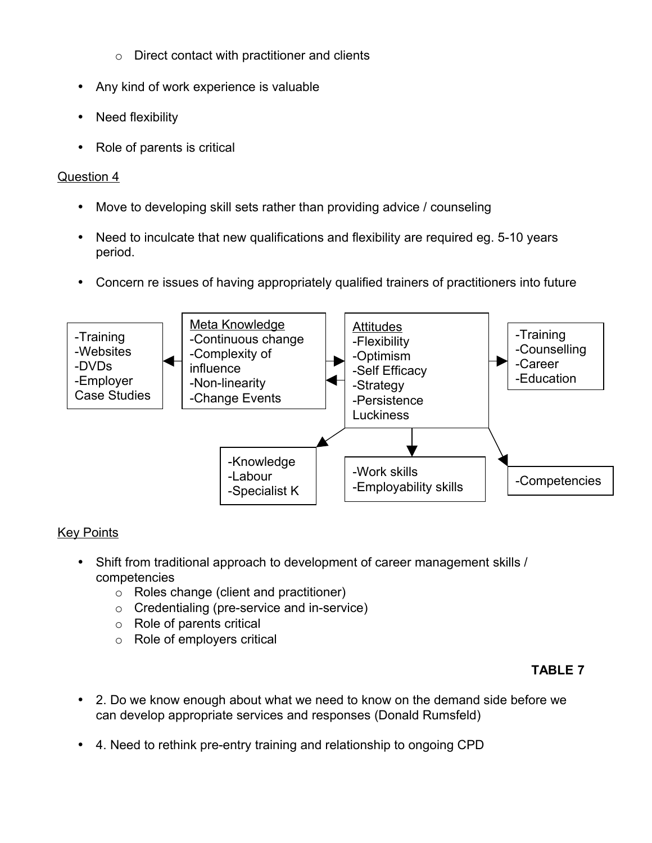- o Direct contact with practitioner and clients
- Any kind of work experience is valuable
- Need flexibility
- Role of parents is critical

# Question 4

- Move to developing skill sets rather than providing advice / counseling
- Need to inculcate that new qualifications and flexibility are required eg. 5-10 years period.
- Concern re issues of having appropriately qualified trainers of practitioners into future



# Key Points

- Shift from traditional approach to development of career management skills / competencies
	- o Roles change (client and practitioner)
	- o Credentialing (pre-service and in-service)
	- o Role of parents critical
	- o Role of employers critical

# **TABLE 7**

- 2. Do we know enough about what we need to know on the demand side before we can develop appropriate services and responses (Donald Rumsfeld)
- 4. Need to rethink pre-entry training and relationship to ongoing CPD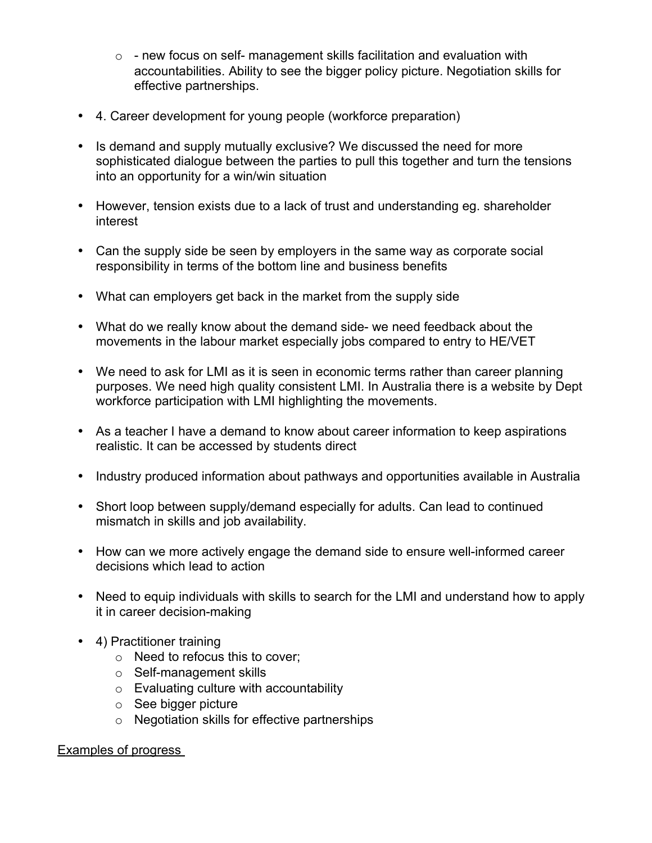- $\circ$  new focus on self- management skills facilitation and evaluation with accountabilities. Ability to see the bigger policy picture. Negotiation skills for effective partnerships.
- 4. Career development for young people (workforce preparation)
- Is demand and supply mutually exclusive? We discussed the need for more sophisticated dialogue between the parties to pull this together and turn the tensions into an opportunity for a win/win situation
- However, tension exists due to a lack of trust and understanding eg. shareholder interest
- Can the supply side be seen by employers in the same way as corporate social responsibility in terms of the bottom line and business benefits
- What can employers get back in the market from the supply side
- What do we really know about the demand side- we need feedback about the movements in the labour market especially jobs compared to entry to HE/VET
- We need to ask for LMI as it is seen in economic terms rather than career planning purposes. We need high quality consistent LMI. In Australia there is a website by Dept workforce participation with LMI highlighting the movements.
- As a teacher I have a demand to know about career information to keep aspirations realistic. It can be accessed by students direct
- Industry produced information about pathways and opportunities available in Australia
- Short loop between supply/demand especially for adults. Can lead to continued mismatch in skills and job availability.
- How can we more actively engage the demand side to ensure well-informed career decisions which lead to action
- Need to equip individuals with skills to search for the LMI and understand how to apply it in career decision-making
- 4) Practitioner training
	- o Need to refocus this to cover;
	- o Self-management skills
	- o Evaluating culture with accountability
	- o See bigger picture
	- o Negotiation skills for effective partnerships

## Examples of progress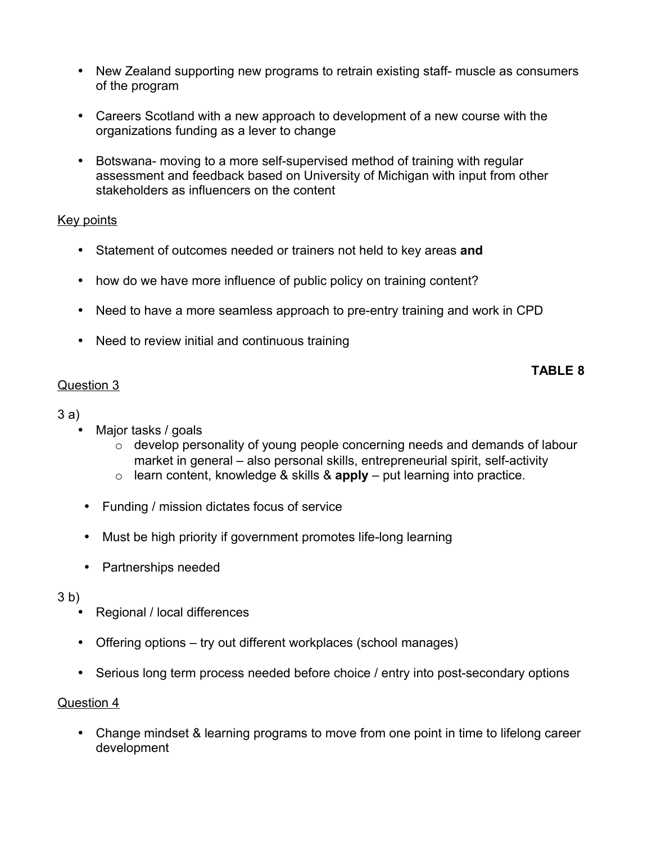- New Zealand supporting new programs to retrain existing staff- muscle as consumers of the program
- Careers Scotland with a new approach to development of a new course with the organizations funding as a lever to change
- Botswana- moving to a more self-supervised method of training with regular assessment and feedback based on University of Michigan with input from other stakeholders as influencers on the content

## Key points

- Statement of outcomes needed or trainers not held to key areas **and**
- how do we have more influence of public policy on training content?
- Need to have a more seamless approach to pre-entry training and work in CPD
- Need to review initial and continuous training

## Question 3

**TABLE 8**

## 3 a)

- Major tasks / goals
	- o develop personality of young people concerning needs and demands of labour market in general – also personal skills, entrepreneurial spirit, self-activity
	- $\circ$  learn content, knowledge & skills & **apply** put learning into practice.
- Funding / mission dictates focus of service
- Must be high priority if government promotes life-long learning
- Partnerships needed

#### 3 b)

- Regional / local differences
- Offering options try out different workplaces (school manages)
- Serious long term process needed before choice / entry into post-secondary options

## Question 4

• Change mindset & learning programs to move from one point in time to lifelong career development